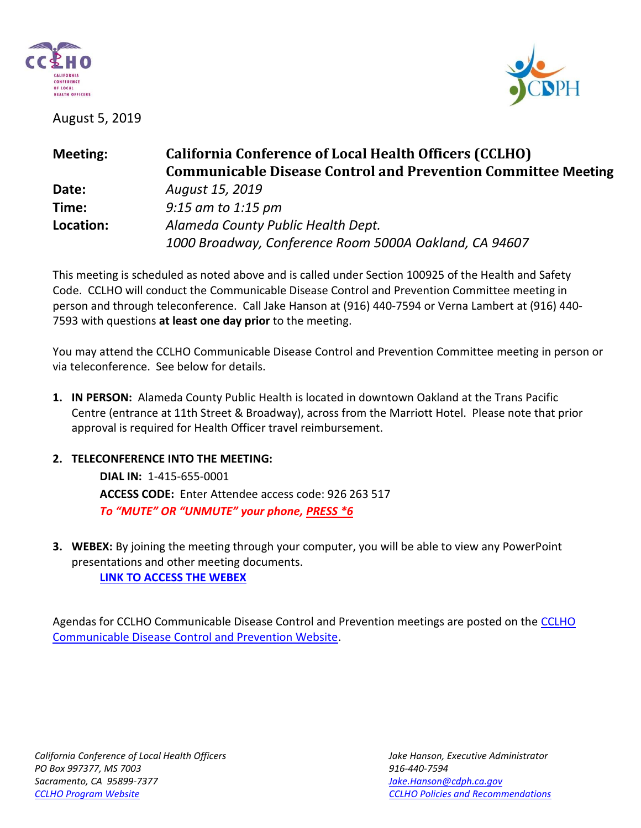

August 5, 2019



| <b>Meeting:</b> | <b>California Conference of Local Health Officers (CCLHO)</b><br><b>Communicable Disease Control and Prevention Committee Meeting</b> |
|-----------------|---------------------------------------------------------------------------------------------------------------------------------------|
| Date:           | August 15, 2019                                                                                                                       |
| Time:           | $9:15$ am to 1:15 pm                                                                                                                  |
| Location:       | Alameda County Public Health Dept.<br>1000 Broadway, Conference Room 5000A Oakland, CA 94607                                          |

This meeting is scheduled as noted above and is called under Section 100925 of the Health and Safety Code. CCLHO will conduct the Communicable Disease Control and Prevention Committee meeting in person and through teleconference. Call Jake Hanson at (916) 440-7594 or Verna Lambert at (916) 440- 7593 with questions **at least one day prior** to the meeting.

You may attend the CCLHO Communicable Disease Control and Prevention Committee meeting in person or via teleconference. See below for details.

- **1. IN PERSON:** Alameda County Public Health is located in downtown Oakland at the Trans Pacific Centre (entrance at 11th Street & Broadway), across from the Marriott Hotel. Please note that prior approval is required for Health Officer travel reimbursement.
- **2. TELECONFERENCE INTO THE MEETING:**

**DIAL IN:** 1-415-655-0001 **ACCESS CODE:** Enter Attendee access code: 926 263 517 *To "MUTE" OR "UNMUTE" your phone, PRESS \*6*

**3. WEBEX:** By joining the meeting through your computer, you will be able to view any PowerPoint presentations and other meeting documents.

**[LINK TO ACCESS THE WEBEX](https://cdph-conf.webex.com/cdph-conf/j.php?MTID=m3540c6627e63c4609e2e9b6bcec05669)**

Agendas for CCLHO Communicable Disease Control and Prevention meetings are posted on the [CCLHO](https://www.cdph.ca.gov/Programs/CCLHO/Pages/CommunicableDiseaseControlAndPrevention.aspx)  [Communicable Disease Control and Prevention Website.](https://www.cdph.ca.gov/Programs/CCLHO/Pages/CommunicableDiseaseControlAndPrevention.aspx)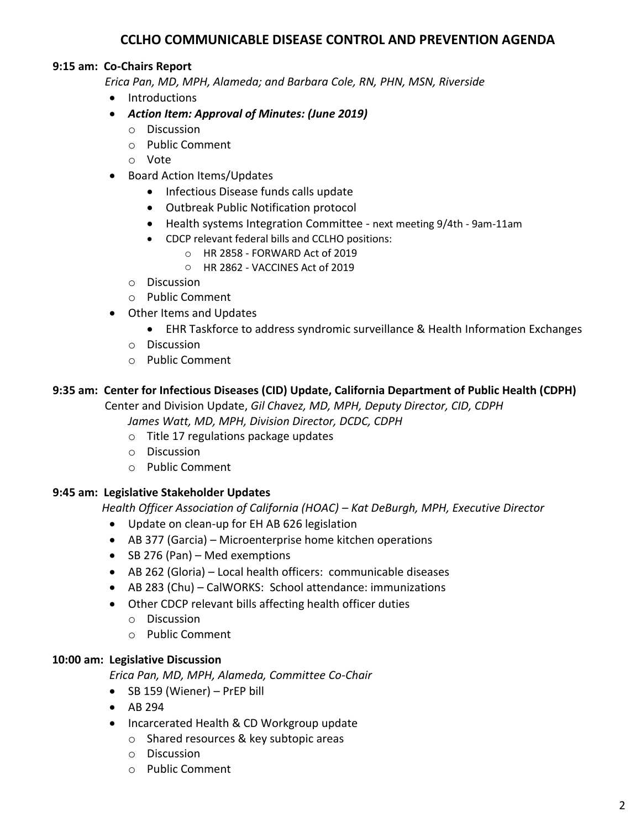# **CCLHO COMMUNICABLE DISEASE CONTROL AND PREVENTION AGENDA**

## **9:15 am: Co-Chairs Report**

 *Erica Pan, MD, MPH, Alameda; and Barbara Cole, RN, PHN, MSN, Riverside*

- Introductions
- *Action Item: Approval of Minutes: (June 2019)*
	- o Discussion
	- o Public Comment
	- o Vote
- Board Action Items/Updates
	- Infectious Disease funds calls update
	- Outbreak Public Notification protocol
	- Health systems Integration Committee next meeting 9/4th 9am-11am
	- CDCP relevant federal bills and CCLHO positions:
		- o HR 2858 FORWARD Act of 2019
		- o HR 2862 VACCINES Act of 2019
	- o Discussion
	- o Public Comment
- Other Items and Updates
	- EHR Taskforce to address syndromic surveillance & Health Information Exchanges
	- o Discussion
	- o Public Comment

## **9:35 am: Center for Infectious Diseases (CID) Update, California Department of Public Health (CDPH)**

 Center and Division Update, *Gil Chavez, MD, MPH, Deputy Director, CID, CDPH James Watt, MD, MPH, Division Director, DCDC, CDPH*

- o Title 17 regulations package updates
- o Discussion
- o Public Comment

#### **9:45 am: Legislative Stakeholder Updates**

 *Health Officer Association of California (HOAC) – Kat DeBurgh, MPH, Executive Director*

- Update on clean-up for EH AB 626 legislation
- AB 377 (Garcia) Microenterprise home kitchen operations
- SB 276 (Pan) Med exemptions
- AB 262 (Gloria) Local health officers: communicable diseases
- AB 283 (Chu) CalWORKS: School attendance: immunizations
- Other CDCP relevant bills affecting health officer duties
	- o Discussion
	- o Public Comment

#### **10:00 am: Legislative Discussion**

*Erica Pan, MD, MPH, Alameda, Committee Co-Chair*

- SB 159 (Wiener) PrEP bill
- AB 294
- Incarcerated Health & CD Workgroup update
	- o Shared resources & key subtopic areas
	- o Discussion
	- o Public Comment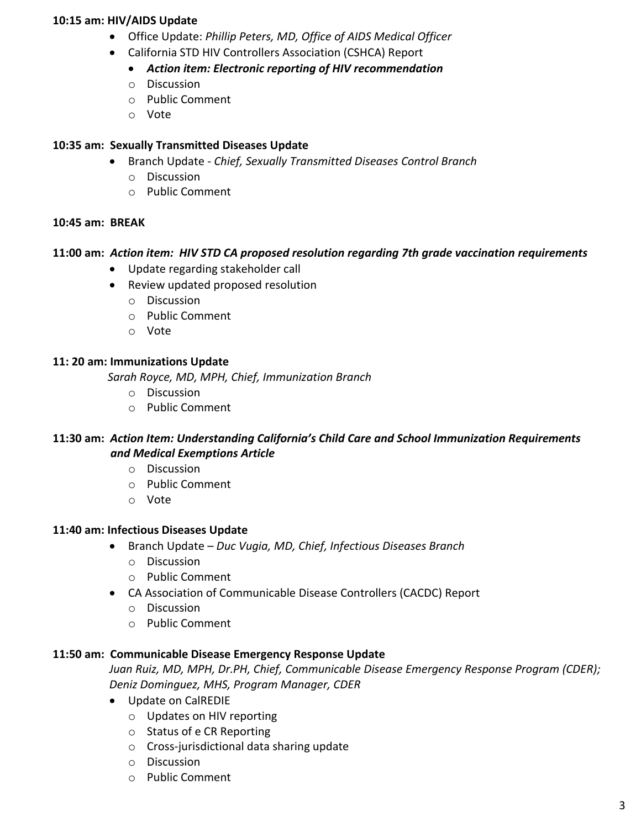#### **10:15 am: HIV/AIDS Update**

- Office Update: *Phillip Peters, MD, Office of AIDS Medical Officer*
- California STD HIV Controllers Association (CSHCA) Report
	- *Action item: Electronic reporting of HIV recommendation*
	- o Discussion
	- o Public Comment
	- o Vote

## **10:35 am: Sexually Transmitted Diseases Update**

- Branch Update *Chief, Sexually Transmitted Diseases Control Branch*
	- o Discussion
	- o Public Comment

#### **10:45 am: BREAK**

## **11:00 am:** *Action item: HIV STD CA proposed resolution regarding 7th grade vaccination requirements*

- Update regarding stakeholder call
- Review updated proposed resolution
	- o Discussion
	- o Public Comment
	- o Vote

## **11: 20 am: Immunizations Update**

 *Sarah Royce, MD, MPH, Chief, Immunization Branch*

- o Discussion
- o Public Comment

## **11:30 am:** *Action Item: Understanding California's Child Care and School Immunization Requirements and Medical Exemptions Article*

- o Discussion
- o Public Comment
- o Vote

#### **11:40 am: Infectious Diseases Update**

- Branch Update *Duc Vugia, MD, Chief, Infectious Diseases Branch* 
	- o Discussion
	- o Public Comment
- CA Association of Communicable Disease Controllers (CACDC) Report
	- o Discussion
	- o Public Comment

#### **11:50 am: Communicable Disease Emergency Response Update**

*Juan Ruiz, MD, MPH, Dr.PH, Chief, Communicable Disease Emergency Response Program (CDER); Deniz Dominguez, MHS, Program Manager, CDER*

- Update on CalREDIE
	- o Updates on HIV reporting
	- o Status of e CR Reporting
	- o Cross-jurisdictional data sharing update
	- o Discussion
	- o Public Comment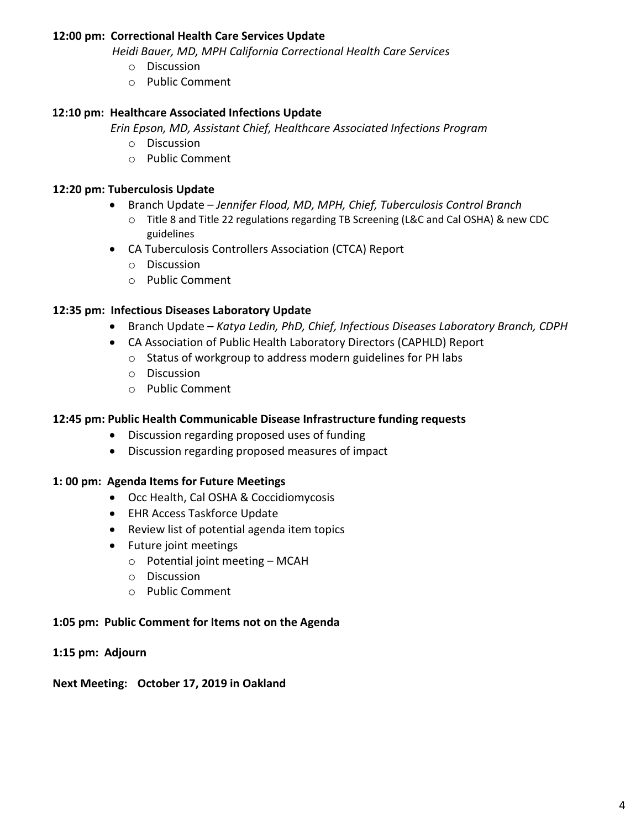#### **12:00 pm: Correctional Health Care Services Update**

*Heidi Bauer, MD, MPH California Correctional Health Care Services*

- o Discussion
- o Public Comment

## **12:10 pm: Healthcare Associated Infections Update**

 *Erin Epson, MD, Assistant Chief, Healthcare Associated Infections Program*

- o Discussion
- o Public Comment

#### **12:20 pm: Tuberculosis Update**

- Branch Update *Jennifer Flood, MD, MPH, Chief, Tuberculosis Control Branch*
	- o Title 8 and Title 22 regulations regarding TB Screening (L&C and Cal OSHA) & new CDC guidelines
- CA Tuberculosis Controllers Association (CTCA) Report
	- o Discussion
	- o Public Comment

## **12:35 pm: Infectious Diseases Laboratory Update**

- Branch Update *Katya Ledin, PhD, Chief, Infectious Diseases Laboratory Branch, CDPH*
- CA Association of Public Health Laboratory Directors (CAPHLD) Report
	- o Status of workgroup to address modern guidelines for PH labs
	- o Discussion
	- o Public Comment

## **12:45 pm: Public Health Communicable Disease Infrastructure funding requests**

- Discussion regarding proposed uses of funding
- Discussion regarding proposed measures of impact

#### **1: 00 pm: Agenda Items for Future Meetings**

- Occ Health, Cal OSHA & Coccidiomycosis
- EHR Access Taskforce Update
- Review list of potential agenda item topics
- Future joint meetings
	- $\circ$  Potential joint meeting MCAH
	- o Discussion
	- o Public Comment

#### **1:05 pm: Public Comment for Items not on the Agenda**

#### **1:15 pm: Adjourn**

**Next Meeting: October 17, 2019 in Oakland**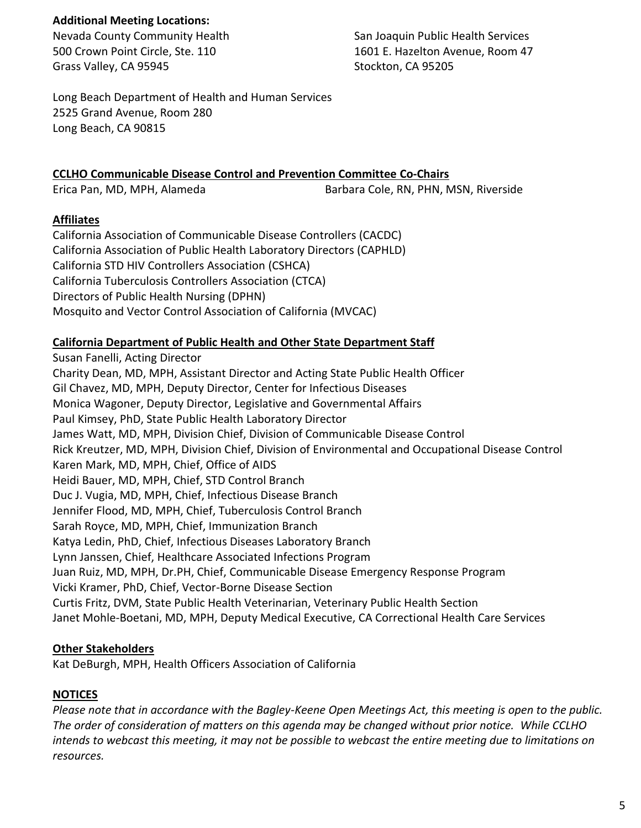#### **Additional Meeting Locations:**

Grass Valley, CA 95945 Stockton, CA 95205

Nevada County Community Health San Joaquin Public Health Services 500 Crown Point Circle, Ste. 110 1601 E. Hazelton Avenue, Room 47

Long Beach Department of Health and Human Services 2525 Grand Avenue, Room 280 Long Beach, CA 90815

## **CCLHO Communicable Disease Control and Prevention Committee Co-Chairs**

Erica Pan, MD, MPH, Alameda Barbara Cole, RN, PHN, MSN, Riverside

## **Affiliates**

California Association of Communicable Disease Controllers (CACDC) California Association of Public Health Laboratory Directors (CAPHLD) California STD HIV Controllers Association (CSHCA) California Tuberculosis Controllers Association (CTCA) Directors of Public Health Nursing (DPHN) Mosquito and Vector Control Association of California (MVCAC)

## **California Department of Public Health and Other State Department Staff**

Susan Fanelli, Acting Director Charity Dean, MD, MPH, Assistant Director and Acting State Public Health Officer Gil Chavez, MD, MPH, Deputy Director, Center for Infectious Diseases Monica Wagoner, Deputy Director, Legislative and Governmental Affairs Paul Kimsey, PhD, State Public Health Laboratory Director James Watt, MD, MPH, Division Chief, Division of Communicable Disease Control Rick Kreutzer, MD, MPH, Division Chief, Division of Environmental and Occupational Disease Control Karen Mark, MD, MPH, Chief, Office of AIDS Heidi Bauer, MD, MPH, Chief, STD Control Branch Duc J. Vugia, MD, MPH, Chief, Infectious Disease Branch Jennifer Flood, MD, MPH, Chief, Tuberculosis Control Branch Sarah Royce, MD, MPH, Chief, Immunization Branch Katya Ledin, PhD, Chief, Infectious Diseases Laboratory Branch Lynn Janssen, Chief, Healthcare Associated Infections Program Juan Ruiz, MD, MPH, Dr.PH, Chief, Communicable Disease Emergency Response Program Vicki Kramer, PhD, Chief, Vector-Borne Disease Section Curtis Fritz, DVM, State Public Health Veterinarian, Veterinary Public Health Section Janet Mohle-Boetani, MD, MPH, Deputy Medical Executive, CA Correctional Health Care Services

## **Other Stakeholders**

Kat DeBurgh, MPH, Health Officers Association of California

# **NOTICES**

*Please note that in accordance with the Bagley-Keene Open Meetings Act, this meeting is open to the public. The order of consideration of matters on this agenda may be changed without prior notice. While CCLHO intends to webcast this meeting, it may not be possible to webcast the entire meeting due to limitations on resources.*